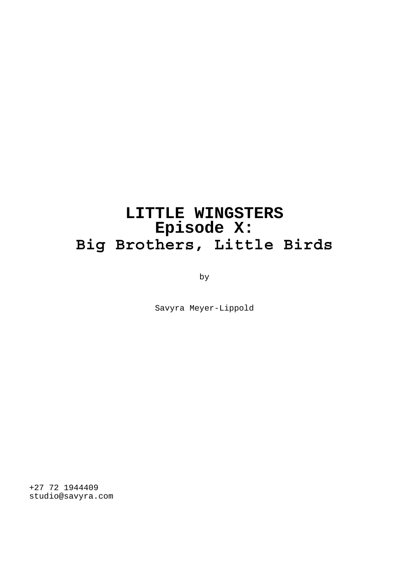# **LITTLE WINGSTERS Episode X: Big Brothers, Little Birds**

by

Savyra Meyer-Lippold

+27 72 1944409 studio@savyra.com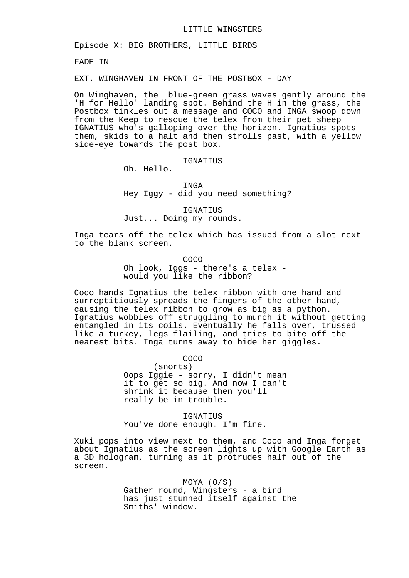Episode X: BIG BROTHERS, LITTLE BIRDS

FADE IN

EXT. WINGHAVEN IN FRONT OF THE POSTBOX - DAY

On Winghaven, the blue-green grass waves gently around the 'H for Hello' landing spot. Behind the H in the grass, the Postbox tinkles out a message and COCO and INGA swoop down from the Keep to rescue the telex from their pet sheep IGNATIUS who's galloping over the horizon. Ignatius spots them, skids to a halt and then strolls past, with a yellow side-eye towards the post box.

## IGNATIUS

Oh. Hello.

INGA Hey Iggy - did you need something?

IGNATIUS Just... Doing my rounds.

Inga tears off the telex which has issued from a slot next to the blank screen.

> COCO Oh look, Iggs - there's a telex would you like the ribbon?

Coco hands Ignatius the telex ribbon with one hand and surreptitiously spreads the fingers of the other hand, causing the telex ribbon to grow as big as a python. Ignatius wobbles off struggling to munch it without getting entangled in its coils. Eventually he falls over, trussed like a turkey, legs flailing, and tries to bite off the nearest bits. Inga turns away to hide her giggles.

COCO

(snorts) Oops Iggie - sorry, I didn't mean it to get so big. And now I can't shrink it because then you'll really be in trouble.

IGNATIUS You've done enough. I'm fine.

Xuki pops into view next to them, and Coco and Inga forget about Ignatius as the screen lights up with Google Earth as a 3D hologram, turning as it protrudes half out of the screen.

> MOYA (O/S) Gather round, Wingsters - a bird has just stunned itself against the Smiths' window.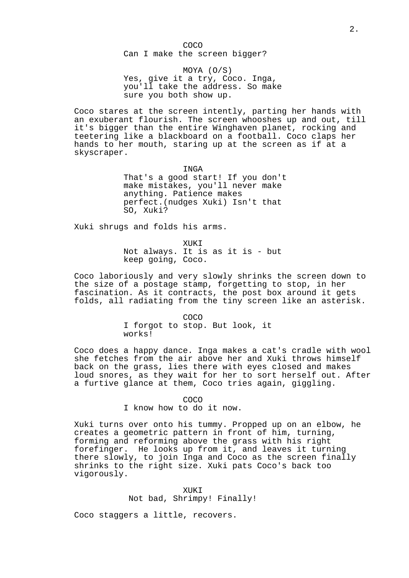COCO Can I make the screen bigger?

MOYA (O/S) Yes, give it a try, Coco. Inga, you'll take the address. So make sure you both show up.

Coco stares at the screen intently, parting her hands with an exuberant flourish. The screen whooshes up and out, till it's bigger than the entire Winghaven planet, rocking and teetering like a blackboard on a football. Coco claps her hands to her mouth, staring up at the screen as if at a skyscraper.

> INGA That's a good start! If you don't make mistakes, you'll never make anything. Patience makes perfect.(nudges Xuki) Isn't that SO, Xuki?

Xuki shrugs and folds his arms.

XUKI Not always. It is as it is - but keep going, Coco.

Coco laboriously and very slowly shrinks the screen down to the size of a postage stamp, forgetting to stop, in her fascination. As it contracts, the post box around it gets folds, all radiating from the tiny screen like an asterisk.

> COCO I forgot to stop. But look, it works!

Coco does a happy dance. Inga makes a cat's cradle with wool she fetches from the air above her and Xuki throws himself back on the grass, lies there with eyes closed and makes loud snores, as they wait for her to sort herself out. After a furtive glance at them, Coco tries again, giggling.

COCO

I know how to do it now.

Xuki turns over onto his tummy. Propped up on an elbow, he creates a geometric pattern in front of him, turning, forming and reforming above the grass with his right forefinger. He looks up from it, and leaves it turning there slowly, to join Inga and Coco as the screen finally shrinks to the right size. Xuki pats Coco's back too vigorously.

> XUKI Not bad, Shrimpy! Finally!

Coco staggers a little, recovers.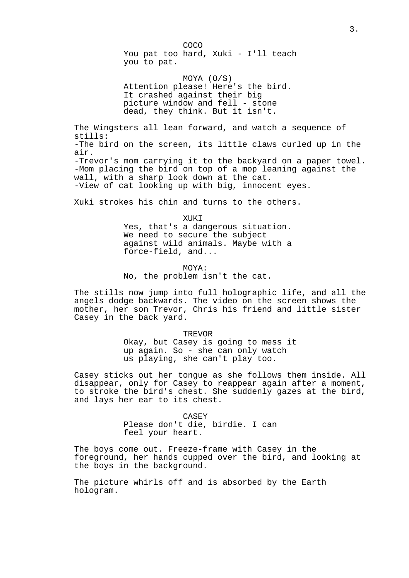COCO You pat too hard, Xuki - I'll teach you to pat.

MOYA (O/S) Attention please! Here's the bird. It crashed against their big picture window and fell - stone dead, they think. But it isn't.

The Wingsters all lean forward, and watch a sequence of stills: -The bird on the screen, its little claws curled up in the air. -Trevor's mom carrying it to the backyard on a paper towel. -Mom placing the bird on top of a mop leaning against the wall, with a sharp look down at the cat. -View of cat looking up with big, innocent eyes.

Xuki strokes his chin and turns to the others.

XUKI Yes, that's a dangerous situation. We need to secure the subject against wild animals. Maybe with a force-field, and...

MOYA: No, the problem isn't the cat.

The stills now jump into full holographic life, and all the angels dodge backwards. The video on the screen shows the mother, her son Trevor, Chris his friend and little sister Casey in the back yard.

> TREVOR Okay, but Casey is going to mess it up again. So - she can only watch us playing, she can't play too.

Casey sticks out her tongue as she follows them inside. All disappear, only for Casey to reappear again after a moment, to stroke the bird's chest. She suddenly gazes at the bird, and lays her ear to its chest.

> CASEY Please don't die, birdie. I can feel your heart.

The boys come out. Freeze-frame with Casey in the foreground, her hands cupped over the bird, and looking at the boys in the background.

The picture whirls off and is absorbed by the Earth hologram.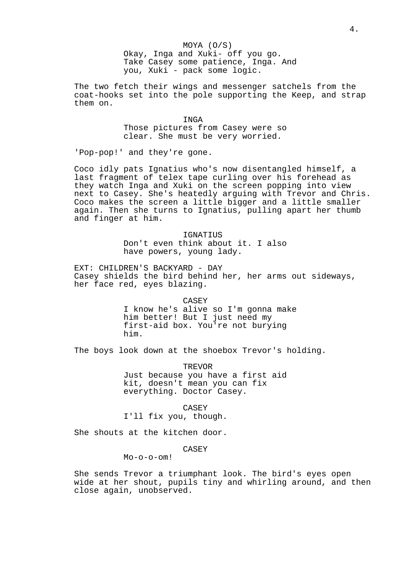#### MOYA (O/S)

Okay, Inga and Xuki- off you go. Take Casey some patience, Inga. And you, Xuki - pack some logic.

The two fetch their wings and messenger satchels from the coat-hooks set into the pole supporting the Keep, and strap them on.

> INGA Those pictures from Casey were so clear. She must be very worried.

'Pop-pop!' and they're gone.

Coco idly pats Ignatius who's now disentangled himself, a last fragment of telex tape curling over his forehead as they watch Inga and Xuki on the screen popping into view next to Casey. She's heatedly arguing with Trevor and Chris. Coco makes the screen a little bigger and a little smaller again. Then she turns to Ignatius, pulling apart her thumb and finger at him.

> IGNATIUS Don't even think about it. I also have powers, young lady.

EXT: CHILDREN'S BACKYARD - DAY Casey shields the bird behind her, her arms out sideways, her face red, eyes blazing.

CASEY

I know he's alive so I'm gonna make him better! But I just need my first-aid box. You're not burying him.

The boys look down at the shoebox Trevor's holding.

TREVOR Just because you have a first aid kit, doesn't mean you can fix everything. Doctor Casey.

CASEY I'll fix you, though.

She shouts at the kitchen door.

CASEY

Mo-o-o-om!

She sends Trevor a triumphant look. The bird's eyes open wide at her shout, pupils tiny and whirling around, and then close again, unobserved.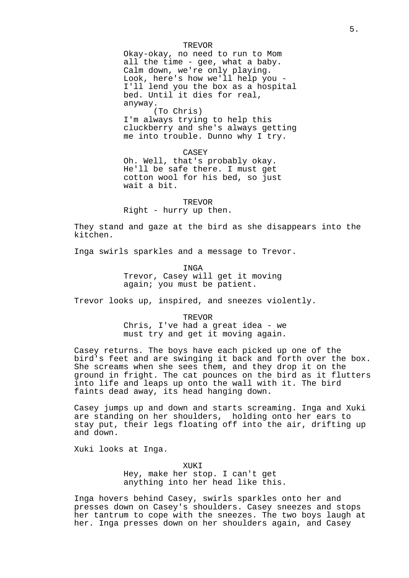#### TREVOR

Okay-okay, no need to run to Mom all the time - gee, what a baby. Calm down, we're only playing. Look, here's how we'll help you - I'll lend you the box as a hospital bed. Until it dies for real, anyway.

(To Chris) I'm always trying to help this cluckberry and she's always getting me into trouble. Dunno why I try.

CASEY Oh. Well, that's probably okay. He'll be safe there. I must get cotton wool for his bed, so just wait a bit.

**TREVOR** Right - hurry up then.

They stand and gaze at the bird as she disappears into the kitchen.

Inga swirls sparkles and a message to Trevor.

**TNGA** Trevor, Casey will get it moving again; you must be patient.

Trevor looks up, inspired, and sneezes violently.

TREVOR Chris, I've had a great idea - we must try and get it moving again.

Casey returns. The boys have each picked up one of the bird's feet and are swinging it back and forth over the box. She screams when she sees them, and they drop it on the ground in fright. The cat pounces on the bird as it flutters into life and leaps up onto the wall with it. The bird faints dead away, its head hanging down.

Casey jumps up and down and starts screaming. Inga and Xuki are standing on her shoulders, holding onto her ears to stay put, their legs floating off into the air, drifting up and down.

Xuki looks at Inga.

XUKI Hey, make her stop. I can't get anything into her head like this.

Inga hovers behind Casey, swirls sparkles onto her and presses down on Casey's shoulders. Casey sneezes and stops her tantrum to cope with the sneezes. The two boys laugh at her. Inga presses down on her shoulders again, and Casey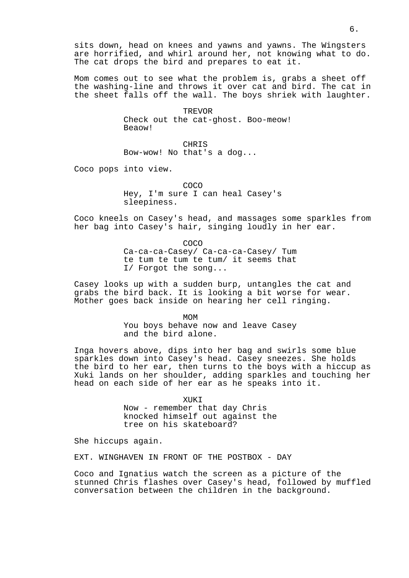sits down, head on knees and yawns and yawns. The Wingsters are horrified, and whirl around her, not knowing what to do. The cat drops the bird and prepares to eat it.

Mom comes out to see what the problem is, grabs a sheet off the washing-line and throws it over cat and bird. The cat in the sheet falls off the wall. The boys shriek with laughter.

> TREVOR Check out the cat-ghost. Boo-meow! Beaow!

CHRIS Bow-wow! No that's a dog...

Coco pops into view.

COCO Hey, I'm sure I can heal Casey's sleepiness.

Coco kneels on Casey's head, and massages some sparkles from her bag into Casey's hair, singing loudly in her ear.

> COCO Ca-ca-ca-Casey/ Ca-ca-ca-Casey/ Tum te tum te tum te tum/ it seems that I/ Forgot the song...

Casey looks up with a sudden burp, untangles the cat and grabs the bird back. It is looking a bit worse for wear. Mother goes back inside on hearing her cell ringing.

MOM

You boys behave now and leave Casey and the bird alone.

Inga hovers above, dips into her bag and swirls some blue sparkles down into Casey's head. Casey sneezes. She holds the bird to her ear, then turns to the boys with a hiccup as Xuki lands on her shoulder, adding sparkles and touching her head on each side of her ear as he speaks into it.

> XUKI Now - remember that day Chris knocked himself out against the tree on his skateboard?

She hiccups again.

EXT. WINGHAVEN IN FRONT OF THE POSTBOX - DAY

Coco and Ignatius watch the screen as a picture of the stunned Chris flashes over Casey's head, followed by muffled conversation between the children in the background.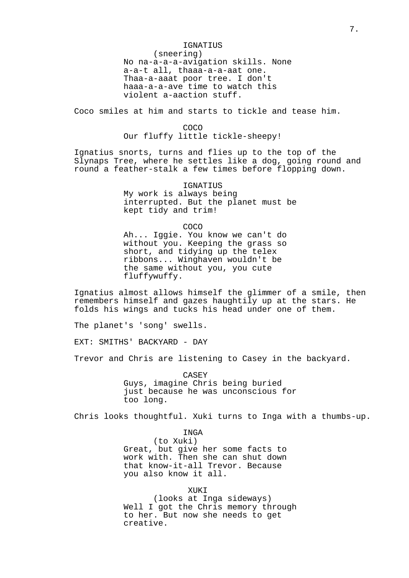#### IGNATIUS

(sneering)

No na-a-a-a-avigation skills. None a-a-t all, thaaa-a-a-aat one. Thaa-a-aaat poor tree. I don't haaa-a-a-ave time to watch this violent a-aaction stuff.

Coco smiles at him and starts to tickle and tease him.

COCO Our fluffy little tickle-sheepy!

Ignatius snorts, turns and flies up to the top of the Slynaps Tree, where he settles like a dog, going round and round a feather-stalk a few times before flopping down.

> IGNATIUS My work is always being interrupted. But the planet must be kept tidy and trim!

> > COCO

Ah... Iggie. You know we can't do without you. Keeping the grass so short, and tidying up the telex ribbons... Winghaven wouldn't be the same without you, you cute fluffywuffy.

Ignatius almost allows himself the glimmer of a smile, then remembers himself and gazes haughtily up at the stars. He folds his wings and tucks his head under one of them.

The planet's 'song' swells.

EXT: SMITHS' BACKYARD - DAY

Trevor and Chris are listening to Casey in the backyard.

CASEY Guys, imagine Chris being buried just because he was unconscious for too long.

Chris looks thoughtful. Xuki turns to Inga with a thumbs-up.

INGA (to Xuki) Great, but give her some facts to work with. Then she can shut down that know-it-all Trevor. Because you also know it all.

 XUKI (looks at Inga sideways) Well I got the Chris memory through to her. But now she needs to get creative.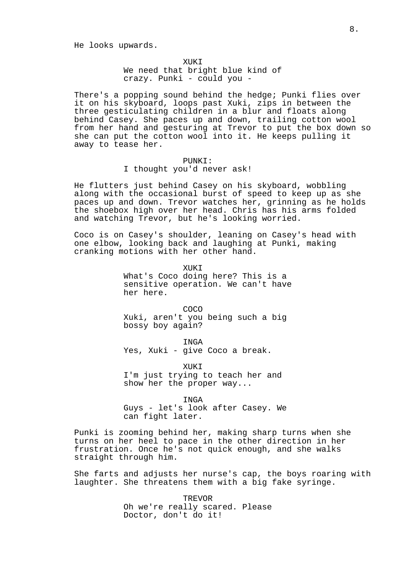He looks upwards.

XUKI We need that bright blue kind of crazy. Punki - could you -

There's a popping sound behind the hedge; Punki flies over it on his skyboard, loops past Xuki, zips in between the three gesticulating children in a blur and floats along behind Casey. She paces up and down, trailing cotton wool from her hand and gesturing at Trevor to put the box down so she can put the cotton wool into it. He keeps pulling it away to tease her.

PUNKI:

I thought you'd never ask!

He flutters just behind Casey on his skyboard, wobbling along with the occasional burst of speed to keep up as she paces up and down. Trevor watches her, grinning as he holds the shoebox high over her head. Chris has his arms folded and watching Trevor, but he's looking worried.

Coco is on Casey's shoulder, leaning on Casey's head with one elbow, looking back and laughing at Punki, making cranking motions with her other hand.

> **XUKT** What's Coco doing here? This is a sensitive operation. We can't have her here.

COCO Xuki, aren't you being such a big bossy boy again?

INGA Yes, Xuki - give Coco a break.

XUKI I'm just trying to teach her and show her the proper way...

INGA Guys - let's look after Casey. We can fight later.

Punki is zooming behind her, making sharp turns when she turns on her heel to pace in the other direction in her frustration. Once he's not quick enough, and she walks straight through him.

She farts and adjusts her nurse's cap, the boys roaring with laughter. She threatens them with a big fake syringe.

> **TREVOR** Oh we're really scared. Please Doctor, don't do it!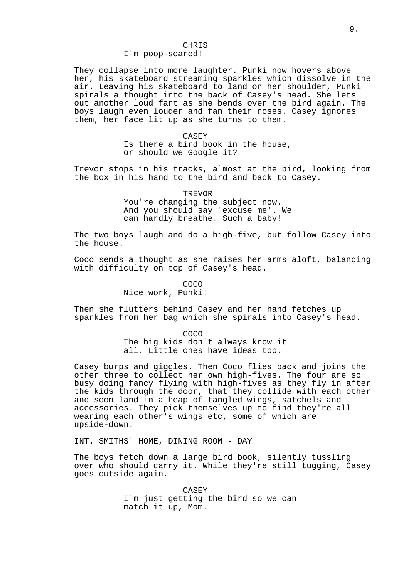### CHRIS

### I'm poop-scared!

They collapse into more laughter. Punki now hovers above her, his skateboard streaming sparkles which dissolve in the air. Leaving his skateboard to land on her shoulder, Punki spirals a thought into the back of Casey's head. She lets out another loud fart as she bends over the bird again. The boys laugh even louder and fan their noses. Casey ignores them, her face lit up as she turns to them.

> CASEY Is there a bird book in the house, or should we Google it?

Trevor stops in his tracks, almost at the bird, looking from the box in his hand to the bird and back to Casey.

> TREVOR You're changing the subject now. And you should say 'excuse me'. We can hardly breathe. Such a baby!

The two boys laugh and do a high-five, but follow Casey into the house.

Coco sends a thought as she raises her arms aloft, balancing with difficulty on top of Casey's head.

> COCO Nice work, Punki!

Then she flutters behind Casey and her hand fetches up sparkles from her bag which she spirals into Casey's head.

COCO

The big kids don't always know it all. Little ones have ideas too.

Casey burps and giggles. Then Coco flies back and joins the other three to collect her own high-fives. The four are so busy doing fancy flying with high-fives as they fly in after the kids through the door, that they collide with each other and soon land in a heap of tangled wings, satchels and accessories. They pick themselves up to find they're all wearing each other's wings etc, some of which are upside-down.

INT. SMITHS' HOME, DINING ROOM - DAY

The boys fetch down a large bird book, silently tussling over who should carry it. While they're still tugging, Casey goes outside again.

> CASEY I'm just getting the bird so we can match it up, Mom.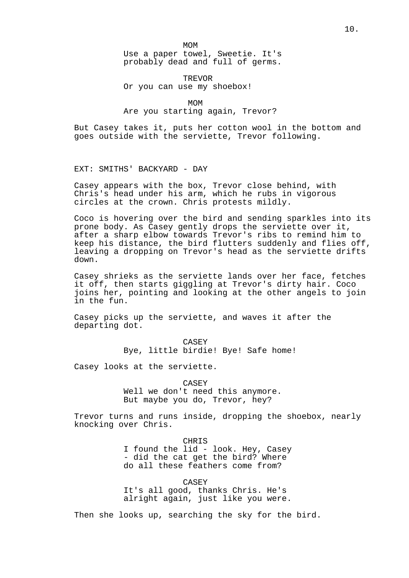MOM Use a paper towel, Sweetie. It's

probably dead and full of germs.

## TREVOR Or you can use my shoebox!

 MOM Are you starting again, Trevor?

But Casey takes it, puts her cotton wool in the bottom and goes outside with the serviette, Trevor following.

EXT: SMITHS' BACKYARD - DAY

Casey appears with the box, Trevor close behind, with Chris's head under his arm, which he rubs in vigorous circles at the crown. Chris protests mildly.

Coco is hovering over the bird and sending sparkles into its prone body. As Casey gently drops the serviette over it, after a sharp elbow towards Trevor's ribs to remind him to keep his distance, the bird flutters suddenly and flies off, leaving a dropping on Trevor's head as the serviette drifts down.

Casey shrieks as the serviette lands over her face, fetches it off, then starts giggling at Trevor's dirty hair. Coco joins her, pointing and looking at the other angels to join in the fun.

Casey picks up the serviette, and waves it after the departing dot.

> CASEY Bye, little birdie! Bye! Safe home!

Casey looks at the serviette.

CASEY

Well we don't need this anymore. But maybe you do, Trevor, hey?

Trevor turns and runs inside, dropping the shoebox, nearly knocking over Chris.

> CHRIS I found the lid - look. Hey, Casey - did the cat get the bird? Where do all these feathers come from?

> CASEY It's all good, thanks Chris. He's alright again, just like you were.

Then she looks up, searching the sky for the bird.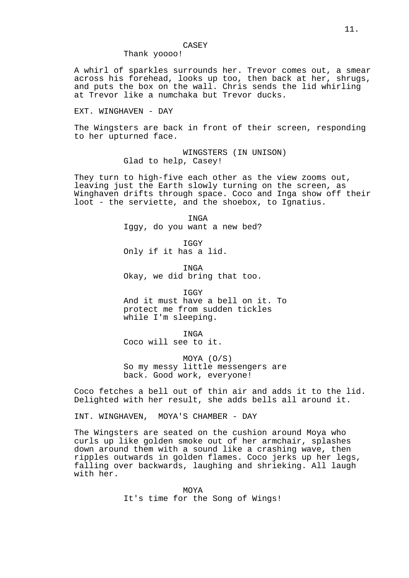#### CASEY

## Thank yoooo!

A whirl of sparkles surrounds her. Trevor comes out, a smear across his forehead, looks up too, then back at her, shrugs, and puts the box on the wall. Chris sends the lid whirling at Trevor like a numchaka but Trevor ducks.

EXT. WINGHAVEN - DAY

The Wingsters are back in front of their screen, responding to her upturned face.

> WINGSTERS (IN UNISON) Glad to help, Casey!

They turn to high-five each other as the view zooms out, leaving just the Earth slowly turning on the screen, as Winghaven drifts through space. Coco and Inga show off their loot - the serviette, and the shoebox, to Ignatius.

> INGA Iggy, do you want a new bed?

IGGY Only if it has a lid.

**TNGA** Okay, we did bring that too.

**TGGY** And it must have a bell on it. To protect me from sudden tickles while I'm sleeping.

INGA

Coco will see to it.

MOYA (O/S) So my messy little messengers are back. Good work, everyone!

Coco fetches a bell out of thin air and adds it to the lid. Delighted with her result, she adds bells all around it.

INT. WINGHAVEN, MOYA'S CHAMBER - DAY

The Wingsters are seated on the cushion around Moya who curls up like golden smoke out of her armchair, splashes down around them with a sound like a crashing wave, then ripples outwards in golden flames. Coco jerks up her legs, falling over backwards, laughing and shrieking. All laugh with her.

> MOYA It's time for the Song of Wings!